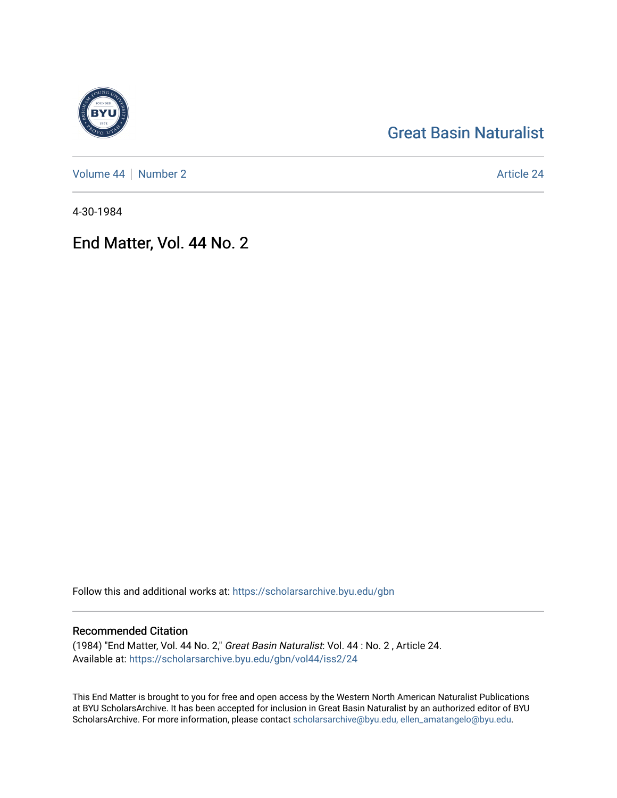# [Great Basin Naturalist](https://scholarsarchive.byu.edu/gbn)

[Volume 44](https://scholarsarchive.byu.edu/gbn/vol44) | [Number 2](https://scholarsarchive.byu.edu/gbn/vol44/iss2) Article 24

4-30-1984

## End Matter, Vol. 44 No. 2

Follow this and additional works at: [https://scholarsarchive.byu.edu/gbn](https://scholarsarchive.byu.edu/gbn?utm_source=scholarsarchive.byu.edu%2Fgbn%2Fvol44%2Fiss2%2F24&utm_medium=PDF&utm_campaign=PDFCoverPages) 

## Recommended Citation

(1984) "End Matter, Vol. 44 No. 2," Great Basin Naturalist: Vol. 44 : No. 2 , Article 24. Available at: [https://scholarsarchive.byu.edu/gbn/vol44/iss2/24](https://scholarsarchive.byu.edu/gbn/vol44/iss2/24?utm_source=scholarsarchive.byu.edu%2Fgbn%2Fvol44%2Fiss2%2F24&utm_medium=PDF&utm_campaign=PDFCoverPages) 

This End Matter is brought to you for free and open access by the Western North American Naturalist Publications at BYU ScholarsArchive. It has been accepted for inclusion in Great Basin Naturalist by an authorized editor of BYU ScholarsArchive. For more information, please contact [scholarsarchive@byu.edu, ellen\\_amatangelo@byu.edu.](mailto:scholarsarchive@byu.edu,%20ellen_amatangelo@byu.edu)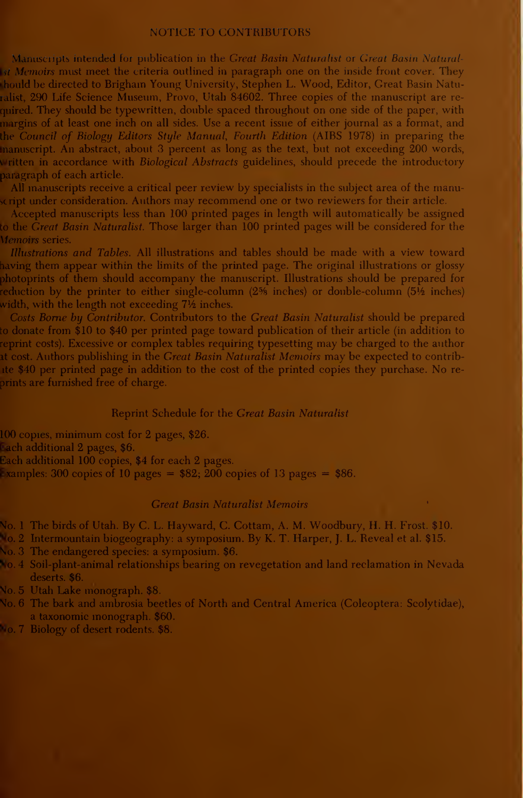#### NOTICE TO CONTRIBUTORS

Manuscripts intended for publication in the Great Basin Naturalist or Great Basin Naturalist Memoirs must meet the criteria outlined in paragraph one on the inside front cover. They should be directed to Brigham Young University, Stephen L. Wood, Editor, Great Basin Naturalist, 290 Life Science Museum, Provo, Utah 84602. Three copies of the manuscript are re quired. They should be typewritten, double spaced throughout on one side of the paper, with margins of at least one inch on all sides. Use a recent issue of either journal as a format, and the Council of Biology Editors Style Manual, Fourth Edition (AIBS 1978) in preparing the manuscript. An abstract, about 3 percent as long as the text, but not exceeding 200 words, written in accordance with *Biological Abstracts* guidelines, should precede the introductory paragraph of each article.

All manuscripts receive a critical peer review by specialists in the subject area of the manuscript under consideration. Authors may recommend one or two reviewers for their article.

Accepted manuscripts less than 100 printed pages in length will automatically be assigned to the Great Basin Naturalist. Those larger than 100 printed pages will be considered for the Memoirs series.

Illustrations and Tables. All illustrations and tables should be made with a view toward having them appear within the limits of the printed page. The original illustrations or glossy photoprints of them should accompany the manuscript. Illustrations should be prepared for reduction by the printer to either single-column (2% inches) or double-column (5½ inches) width, with the length not exceeding  $7\frac{1}{2}$  inches.

Costs Borne by Contributor. Contributors to the Great Basin Naturalist should be prepared to donate from \$10 to \$40 per printed page toward publication of their article (in addition to reprint costs). Excessive or complex tables requiring typesetting may be charged to the author at cost. Authors publishing in the Great Basin Naturalist Memoirs may be expected to contribute \$40 per printed page in addition to the cost of the printed copies they purchase. No re prints are furnished free of charge.

#### Reprint Schedule for the Great Basin Naturalist

100 copies, minimum cost for 2 pages, \$26.

Each additional 2 pages, \$6.

Each additional 100 copies, \$4 for each 2 pages.

Examples: 300 copies of 10 pages =  $$82; 200$  copies of 13 pages =  $$86.$ 

#### Great Basin Naturalist Memoirs

No. <sup>1</sup> The birds of Utah. By C. L. Hayward, C. Cottam, A. M. Woodbury, H. H. Frost. \$10.

No. <sup>2</sup> Intermountain biogeography: <sup>a</sup> symposium. By K. T. Harper, J. L. Reveal et al. \$15.

No. 3 The endangered species: a symposium. \$6.

No. 4 Soil-plant-animal relationships bearing on revegetation and land reclamation in Nevada deserts. \$6.

No. 5 Utah Lake monograph. \$8.

No. 6 The bark and ambrosia beetles of North and Central America (Coleoptera: Scolytidae), a taxonomic monograph. \$60.

No. 7 Biology of desert rodents. \$8.